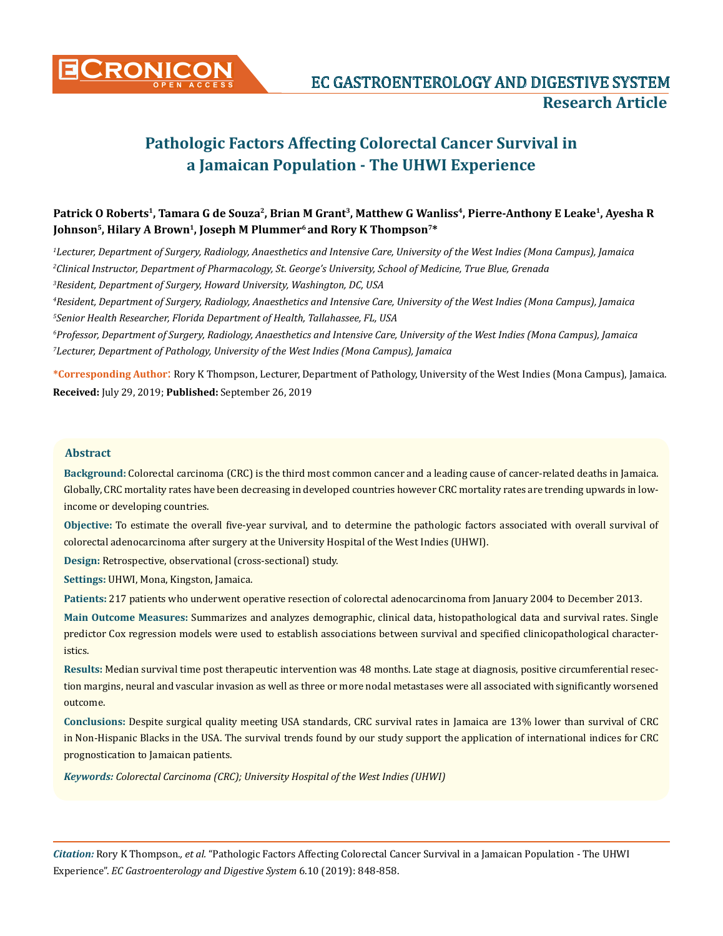

# Patrick O Roberts<sup>1</sup>, Tamara G de Souza<sup>2</sup>, Brian M Grant<sup>3</sup>, Matthew G Wanliss<sup>4</sup>, Pierre-Anthony E Leake<sup>1</sup>, Ayesha R Johnson<sup>5</sup>, Hilary A Brown<sup>1</sup>, Joseph M Plummer<sup>6</sup> and Rory K Thompson<sup>7\*</sup>

*1 Lecturer, Department of Surgery, Radiology, Anaesthetics and Intensive Care, University of the West Indies (Mona Campus), Jamaica 2 Clinical Instructor, Department of Pharmacology, St. George's University, School of Medicine, True Blue, Grenada*

*3 Resident, Department of Surgery, Howard University, Washington, DC, USA*

*4 Resident, Department of Surgery, Radiology, Anaesthetics and Intensive Care, University of the West Indies (Mona Campus), Jamaica 5 Senior Health Researcher, Florida Department of Health, Tallahassee, FL, USA*

*6 Professor, Department of Surgery, Radiology, Anaesthetics and Intensive Care, University of the West Indies (Mona Campus), Jamaica 7 Lecturer, Department of Pathology, University of the West Indies (Mona Campus), Jamaica*

**\*Corresponding Author**: Rory K Thompson, Lecturer, Department of Pathology, University of the West Indies (Mona Campus), Jamaica. **Received:** July 29, 2019; **Published:** September 26, 2019

#### **Abstract**

**Background:** Colorectal carcinoma (CRC) is the third most common cancer and a leading cause of cancer-related deaths in Jamaica. Globally, CRC mortality rates have been decreasing in developed countries however CRC mortality rates are trending upwards in lowincome or developing countries.

**Objective:** To estimate the overall five-year survival, and to determine the pathologic factors associated with overall survival of colorectal adenocarcinoma after surgery at the University Hospital of the West Indies (UHWI).

**Design:** Retrospective, observational (cross-sectional) study.

**Settings:** UHWI, Mona, Kingston, Jamaica.

**Patients:** 217 patients who underwent operative resection of colorectal adenocarcinoma from January 2004 to December 2013.

**Main Outcome Measures:** Summarizes and analyzes demographic, clinical data, histopathological data and survival rates. Single predictor Cox regression models were used to establish associations between survival and specified clinicopathological characteristics.

**Results:** Median survival time post therapeutic intervention was 48 months. Late stage at diagnosis, positive circumferential resection margins, neural and vascular invasion as well as three or more nodal metastases were all associated with significantly worsened outcome.

**Conclusions:** Despite surgical quality meeting USA standards, CRC survival rates in Jamaica are 13% lower than survival of CRC in Non-Hispanic Blacks in the USA. The survival trends found by our study support the application of international indices for CRC prognostication to Jamaican patients.

*Keywords: Colorectal Carcinoma (CRC); University Hospital of the West Indies (UHWI)*

*Citation:* Rory K Thompson*., et al.* "Pathologic Factors Affecting Colorectal Cancer Survival in a Jamaican Population - The UHWI Experience". *EC Gastroenterology and Digestive System* 6.10 (2019): 848-858.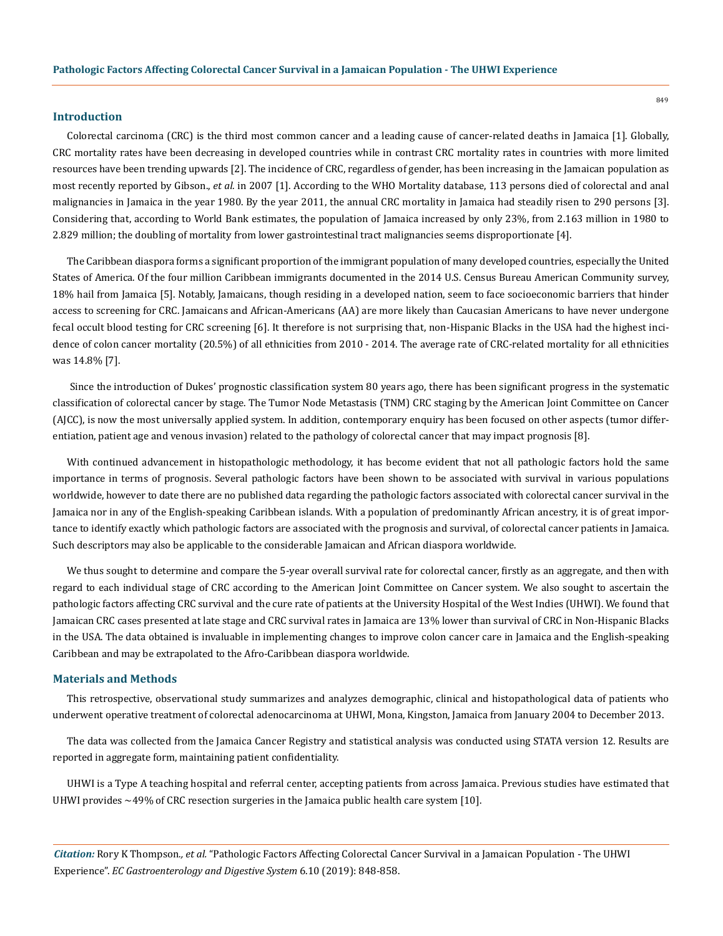## **Introduction**

Colorectal carcinoma (CRC) is the third most common cancer and a leading cause of cancer-related deaths in Jamaica [1]. Globally, CRC mortality rates have been decreasing in developed countries while in contrast CRC mortality rates in countries with more limited resources have been trending upwards [2]. The incidence of CRC, regardless of gender, has been increasing in the Jamaican population as most recently reported by Gibson., *et al.* in 2007 [1]. According to the WHO Mortality database, 113 persons died of colorectal and anal malignancies in Jamaica in the year 1980. By the year 2011, the annual CRC mortality in Jamaica had steadily risen to 290 persons [3]. Considering that, according to World Bank estimates, the population of Jamaica increased by only 23%, from 2.163 million in 1980 to 2.829 million; the doubling of mortality from lower gastrointestinal tract malignancies seems disproportionate [4].

The Caribbean diaspora forms a significant proportion of the immigrant population of many developed countries, especially the United States of America. Of the four million Caribbean immigrants documented in the 2014 U.S. Census Bureau American Community survey, 18% hail from Jamaica [5]. Notably, Jamaicans, though residing in a developed nation, seem to face socioeconomic barriers that hinder access to screening for CRC. Jamaicans and African-Americans (AA) are more likely than Caucasian Americans to have never undergone fecal occult blood testing for CRC screening [6]. It therefore is not surprising that, non-Hispanic Blacks in the USA had the highest incidence of colon cancer mortality (20.5%) of all ethnicities from 2010 - 2014. The average rate of CRC-related mortality for all ethnicities was 14.8% [7].

 Since the introduction of Dukes' prognostic classification system 80 years ago, there has been significant progress in the systematic classification of colorectal cancer by stage. The Tumor Node Metastasis (TNM) CRC staging by the American Joint Committee on Cancer (AJCC), is now the most universally applied system. In addition, contemporary enquiry has been focused on other aspects (tumor differentiation, patient age and venous invasion) related to the pathology of colorectal cancer that may impact prognosis [8].

With continued advancement in histopathologic methodology, it has become evident that not all pathologic factors hold the same importance in terms of prognosis. Several pathologic factors have been shown to be associated with survival in various populations worldwide, however to date there are no published data regarding the pathologic factors associated with colorectal cancer survival in the Jamaica nor in any of the English-speaking Caribbean islands. With a population of predominantly African ancestry, it is of great importance to identify exactly which pathologic factors are associated with the prognosis and survival, of colorectal cancer patients in Jamaica. Such descriptors may also be applicable to the considerable Jamaican and African diaspora worldwide.

We thus sought to determine and compare the 5-year overall survival rate for colorectal cancer, firstly as an aggregate, and then with regard to each individual stage of CRC according to the American Joint Committee on Cancer system. We also sought to ascertain the pathologic factors affecting CRC survival and the cure rate of patients at the University Hospital of the West Indies (UHWI). We found that Jamaican CRC cases presented at late stage and CRC survival rates in Jamaica are 13% lower than survival of CRC in Non-Hispanic Blacks in the USA. The data obtained is invaluable in implementing changes to improve colon cancer care in Jamaica and the English-speaking Caribbean and may be extrapolated to the Afro-Caribbean diaspora worldwide.

#### **Materials and Methods**

This retrospective, observational study summarizes and analyzes demographic, clinical and histopathological data of patients who underwent operative treatment of colorectal adenocarcinoma at UHWI, Mona, Kingston, Jamaica from January 2004 to December 2013.

The data was collected from the Jamaica Cancer Registry and statistical analysis was conducted using STATA version 12. Results are reported in aggregate form, maintaining patient confidentiality.

UHWI is a Type A teaching hospital and referral center, accepting patients from across Jamaica. Previous studies have estimated that UHWI provides  $\sim$ 49% of CRC resection surgeries in the Jamaica public health care system [10].

*Citation:* Rory K Thompson*., et al.* "Pathologic Factors Affecting Colorectal Cancer Survival in a Jamaican Population - The UHWI Experience". *EC Gastroenterology and Digestive System* 6.10 (2019): 848-858.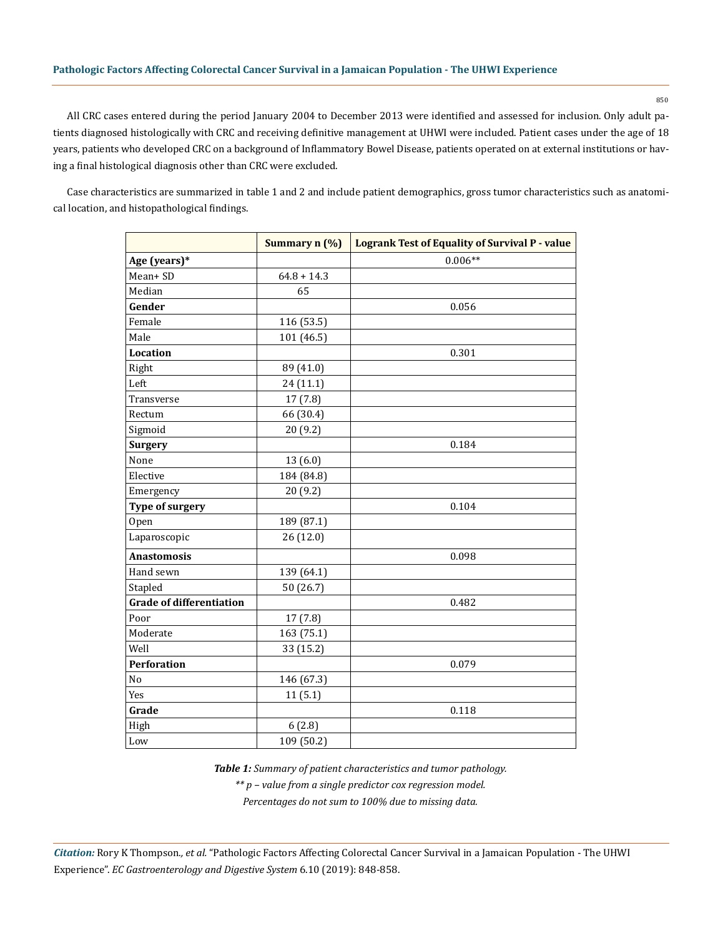850

All CRC cases entered during the period January 2004 to December 2013 were identified and assessed for inclusion. Only adult patients diagnosed histologically with CRC and receiving definitive management at UHWI were included. Patient cases under the age of 18 years, patients who developed CRC on a background of Inflammatory Bowel Disease, patients operated on at external institutions or having a final histological diagnosis other than CRC were excluded.

Case characteristics are summarized in table 1 and 2 and include patient demographics, gross tumor characteristics such as anatomical location, and histopathological findings.

|                                 | Summary n (%) | <b>Logrank Test of Equality of Survival P - value</b> |
|---------------------------------|---------------|-------------------------------------------------------|
| Age (years)*                    |               | $0.006**$                                             |
| Mean+SD                         | $64.8 + 14.3$ |                                                       |
| Median                          | 65            |                                                       |
| Gender                          |               | 0.056                                                 |
| Female                          | 116 (53.5)    |                                                       |
| Male                            | 101 (46.5)    |                                                       |
| Location                        |               | 0.301                                                 |
| Right                           | 89 (41.0)     |                                                       |
| Left                            | 24 (11.1)     |                                                       |
| Transverse                      | 17(7.8)       |                                                       |
| Rectum                          | 66 (30.4)     |                                                       |
| Sigmoid                         | 20 (9.2)      |                                                       |
| <b>Surgery</b>                  |               | 0.184                                                 |
| None                            | 13 (6.0)      |                                                       |
| Elective                        | 184 (84.8)    |                                                       |
| Emergency                       | 20(9.2)       |                                                       |
| <b>Type of surgery</b>          |               | 0.104                                                 |
| Open                            | 189 (87.1)    |                                                       |
| Laparoscopic                    | 26(12.0)      |                                                       |
| <b>Anastomosis</b>              |               | 0.098                                                 |
| Hand sewn                       | 139 (64.1)    |                                                       |
| Stapled                         | 50 (26.7)     |                                                       |
| <b>Grade of differentiation</b> |               | 0.482                                                 |
| Poor                            | 17(7.8)       |                                                       |
| Moderate                        | 163 (75.1)    |                                                       |
| Well                            | 33 (15.2)     |                                                       |
| <b>Perforation</b>              |               | 0.079                                                 |
| No                              | 146 (67.3)    |                                                       |
| Yes                             | 11(5.1)       |                                                       |
| Grade                           |               | 0.118                                                 |
| High                            | 6(2.8)        |                                                       |
| Low                             | 109 (50.2)    |                                                       |

*Table 1: Summary of patient characteristics and tumor pathology.*

*\*\* p – value from a single predictor cox regression model.*

*Percentages do not sum to 100% due to missing data.*

*Citation:* Rory K Thompson*., et al.* "Pathologic Factors Affecting Colorectal Cancer Survival in a Jamaican Population - The UHWI Experience". *EC Gastroenterology and Digestive System* 6.10 (2019): 848-858.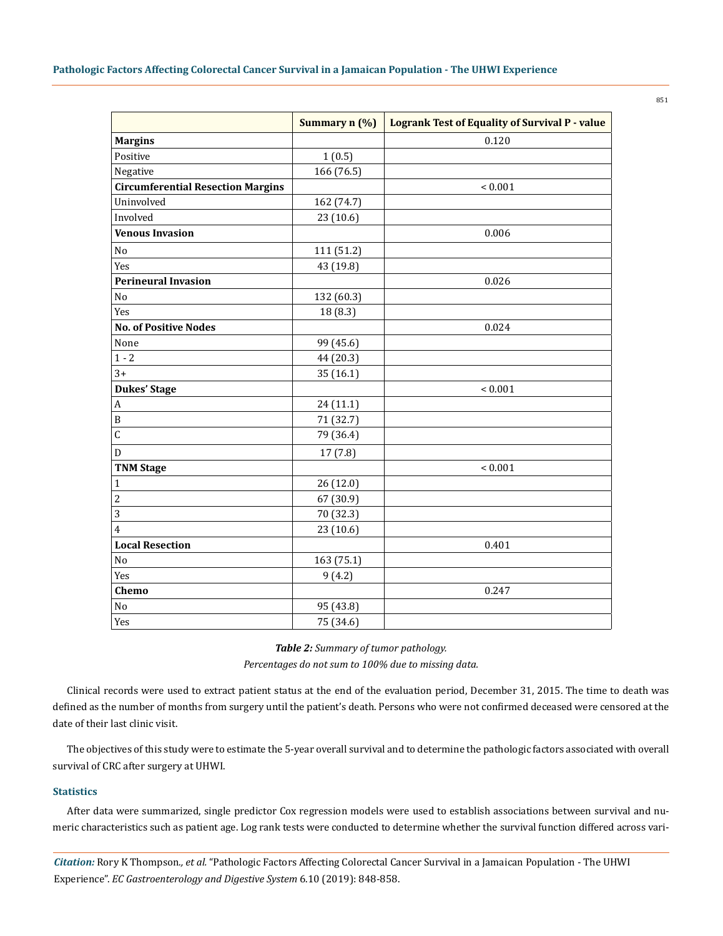|                                          | Summary n (%) | <b>Logrank Test of Equality of Survival P - value</b> |
|------------------------------------------|---------------|-------------------------------------------------------|
| <b>Margins</b>                           |               | 0.120                                                 |
| Positive                                 | 1(0.5)        |                                                       |
| Negative                                 | 166 (76.5)    |                                                       |
| <b>Circumferential Resection Margins</b> |               | ${}< 0.001$                                           |
| Uninvolved                               | 162 (74.7)    |                                                       |
| Involved                                 | 23 (10.6)     |                                                       |
| <b>Venous Invasion</b>                   |               | 0.006                                                 |
| $\rm No$                                 | 111 (51.2)    |                                                       |
| Yes                                      | 43 (19.8)     |                                                       |
| <b>Perineural Invasion</b>               |               | 0.026                                                 |
| $\rm No$                                 | 132 (60.3)    |                                                       |
| Yes                                      | 18 (8.3)      |                                                       |
| <b>No. of Positive Nodes</b>             |               | 0.024                                                 |
| None                                     | 99 (45.6)     |                                                       |
| $1 - 2$                                  | 44 (20.3)     |                                                       |
| $3+$                                     | 35 (16.1)     |                                                       |
| <b>Dukes' Stage</b>                      |               | ${}< 0.001$                                           |
| $\boldsymbol{A}$                         | 24 (11.1)     |                                                       |
| B                                        | 71 (32.7)     |                                                       |
| $\mathsf C$                              | 79 (36.4)     |                                                       |
| ${\bf D}$                                | 17(7.8)       |                                                       |
| <b>TNM Stage</b>                         |               | ${}< 0.001$                                           |
| $\mathbf{1}$                             | 26 (12.0)     |                                                       |
| $\overline{c}$                           | 67 (30.9)     |                                                       |
| 3                                        | 70 (32.3)     |                                                       |
| $\overline{4}$                           | 23 (10.6)     |                                                       |
| <b>Local Resection</b>                   |               | 0.401                                                 |
| No                                       | 163 (75.1)    |                                                       |
| Yes                                      | 9(4.2)        |                                                       |
| Chemo                                    |               | 0.247                                                 |
| $\rm No$                                 | 95 (43.8)     |                                                       |
| Yes                                      | 75 (34.6)     |                                                       |

#### *Table 2: Summary of tumor pathology.*

*Percentages do not sum to 100% due to missing data.*

Clinical records were used to extract patient status at the end of the evaluation period, December 31, 2015. The time to death was defined as the number of months from surgery until the patient's death. Persons who were not confirmed deceased were censored at the date of their last clinic visit.

The objectives of this study were to estimate the 5-year overall survival and to determine the pathologic factors associated with overall survival of CRC after surgery at UHWI.

#### **Statistics**

After data were summarized, single predictor Cox regression models were used to establish associations between survival and numeric characteristics such as patient age. Log rank tests were conducted to determine whether the survival function differed across vari-

*Citation:* Rory K Thompson*., et al.* "Pathologic Factors Affecting Colorectal Cancer Survival in a Jamaican Population - The UHWI Experience". *EC Gastroenterology and Digestive System* 6.10 (2019): 848-858.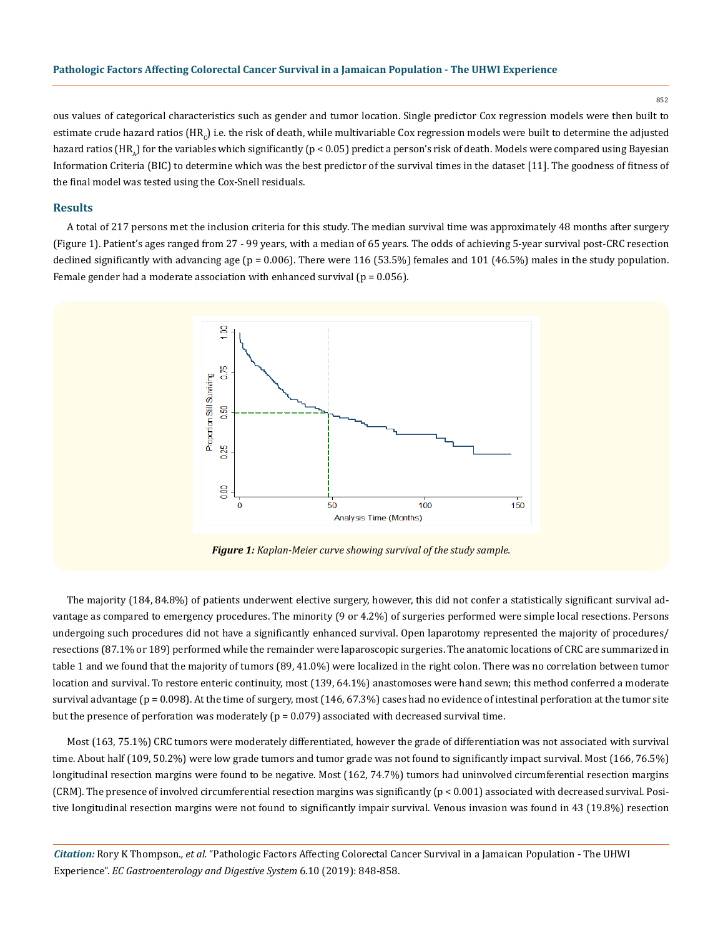852

ous values of categorical characteristics such as gender and tumor location. Single predictor Cox regression models were then built to estimate crude hazard ratios (HR<sub>c</sub>) i.e. the risk of death, while multivariable Cox regression models were built to determine the adjusted hazard ratios (HR<sub>a</sub>) for the variables which significantly ( $p < 0.05$ ) predict a person's risk of death. Models were compared using Bayesian Information Criteria (BIC) to determine which was the best predictor of the survival times in the dataset [11]. The goodness of fitness of the final model was tested using the Cox-Snell residuals.

#### **Results**

A total of 217 persons met the inclusion criteria for this study. The median survival time was approximately 48 months after surgery (Figure 1). Patient's ages ranged from 27 - 99 years, with a median of 65 years. The odds of achieving 5-year survival post-CRC resection declined significantly with advancing age (p = 0.006). There were 116 (53.5%) females and 101 (46.5%) males in the study population. Female gender had a moderate association with enhanced survival ( $p = 0.056$ ).



*Figure 1: Kaplan-Meier curve showing survival of the study sample.*

The majority (184, 84.8%) of patients underwent elective surgery, however, this did not confer a statistically significant survival advantage as compared to emergency procedures. The minority (9 or 4.2%) of surgeries performed were simple local resections. Persons undergoing such procedures did not have a significantly enhanced survival. Open laparotomy represented the majority of procedures/ resections (87.1% or 189) performed while the remainder were laparoscopic surgeries. The anatomic locations of CRC are summarized in table 1 and we found that the majority of tumors (89, 41.0%) were localized in the right colon. There was no correlation between tumor location and survival. To restore enteric continuity, most (139, 64.1%) anastomoses were hand sewn; this method conferred a moderate survival advantage ( $p = 0.098$ ). At the time of surgery, most  $(146, 67.3%)$  cases had no evidence of intestinal perforation at the tumor site but the presence of perforation was moderately (p = 0.079) associated with decreased survival time.

Most (163, 75.1%) CRC tumors were moderately differentiated, however the grade of differentiation was not associated with survival time. About half (109, 50.2%) were low grade tumors and tumor grade was not found to significantly impact survival. Most (166, 76.5%) longitudinal resection margins were found to be negative. Most (162, 74.7%) tumors had uninvolved circumferential resection margins (CRM). The presence of involved circumferential resection margins was significantly (p < 0.001) associated with decreased survival. Positive longitudinal resection margins were not found to significantly impair survival. Venous invasion was found in 43 (19.8%) resection

*Citation:* Rory K Thompson*., et al.* "Pathologic Factors Affecting Colorectal Cancer Survival in a Jamaican Population - The UHWI Experience". *EC Gastroenterology and Digestive System* 6.10 (2019): 848-858.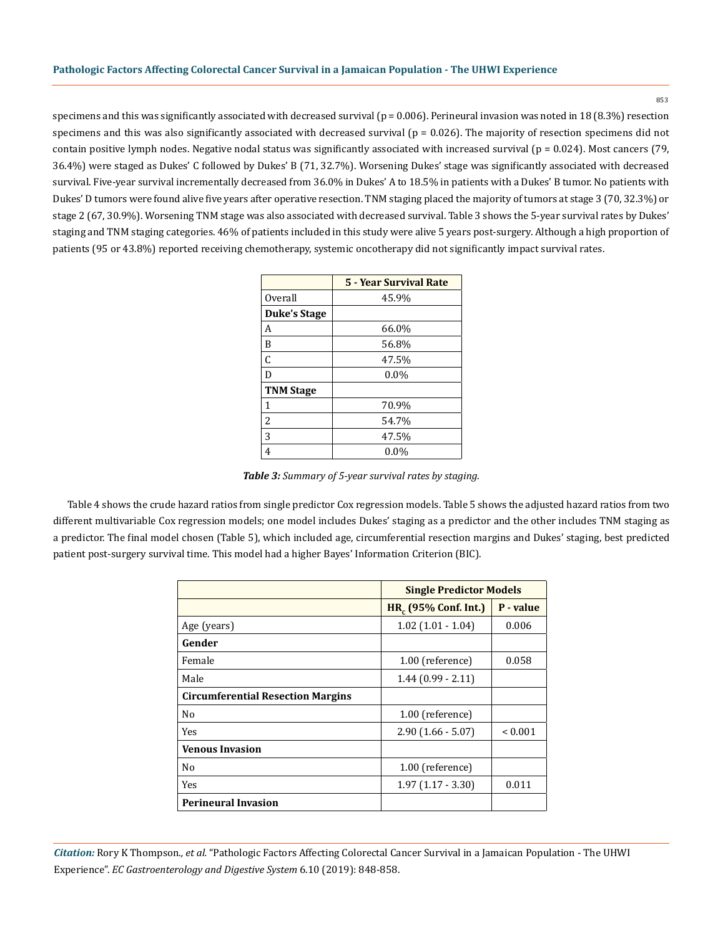853

specimens and this was significantly associated with decreased survival ( $p = 0.006$ ). Perineural invasion was noted in 18 (8.3%) resection specimens and this was also significantly associated with decreased survival  $(p = 0.026)$ . The majority of resection specimens did not contain positive lymph nodes. Negative nodal status was significantly associated with increased survival ( $p = 0.024$ ). Most cancers (79, 36.4%) were staged as Dukes' C followed by Dukes' B (71, 32.7%). Worsening Dukes' stage was significantly associated with decreased survival. Five-year survival incrementally decreased from 36.0% in Dukes' A to 18.5% in patients with a Dukes' B tumor. No patients with Dukes' D tumors were found alive five years after operative resection. TNM staging placed the majority of tumors at stage 3 (70, 32.3%) or stage 2 (67, 30.9%). Worsening TNM stage was also associated with decreased survival. Table 3 shows the 5-year survival rates by Dukes' staging and TNM staging categories. 46% of patients included in this study were alive 5 years post-surgery. Although a high proportion of patients (95 or 43.8%) reported receiving chemotherapy, systemic oncotherapy did not significantly impact survival rates.

|                          | <b>5 - Year Survival Rate</b> |  |  |  |
|--------------------------|-------------------------------|--|--|--|
| Overall                  | 45.9%                         |  |  |  |
| <b>Duke's Stage</b>      |                               |  |  |  |
| А                        | 66.0%                         |  |  |  |
| B                        | 56.8%                         |  |  |  |
| C                        | 47.5%                         |  |  |  |
| D                        | $0.0\%$                       |  |  |  |
| <b>TNM Stage</b>         |                               |  |  |  |
| 1                        | 70.9%                         |  |  |  |
| $\overline{\mathcal{L}}$ | 54.7%                         |  |  |  |
| 3                        | 47.5%                         |  |  |  |
| 4                        | $0.0\%$                       |  |  |  |

*Table 3: Summary of 5-year survival rates by staging.*

Table 4 shows the crude hazard ratios from single predictor Cox regression models. Table 5 shows the adjusted hazard ratios from two different multivariable Cox regression models; one model includes Dukes' staging as a predictor and the other includes TNM staging as a predictor. The final model chosen (Table 5), which included age, circumferential resection margins and Dukes' staging, best predicted patient post-surgery survival time. This model had a higher Bayes' Information Criterion (BIC).

|                                          | <b>Single Predictor Models</b>   |              |  |
|------------------------------------------|----------------------------------|--------------|--|
|                                          | HR <sub>c</sub> (95% Conf. Int.) | P - value    |  |
| Age (years)                              | $1.02$ (1.01 - 1.04)             | 0.006        |  |
| Gender                                   |                                  |              |  |
| Female                                   | 1.00 (reference)                 | 0.058        |  |
| Male                                     | $1.44(0.99 - 2.11)$              |              |  |
| <b>Circumferential Resection Margins</b> |                                  |              |  |
| N <sub>0</sub>                           | 1.00 (reference)                 |              |  |
| Yes                                      | $2.90(1.66 - 5.07)$              | ${}_{0.001}$ |  |
| <b>Venous Invasion</b>                   |                                  |              |  |
| No                                       | 1.00 (reference)                 |              |  |
| Yes                                      | $1.97(1.17 - 3.30)$              | 0.011        |  |
| <b>Perineural Invasion</b>               |                                  |              |  |

*Citation:* Rory K Thompson*., et al.* "Pathologic Factors Affecting Colorectal Cancer Survival in a Jamaican Population - The UHWI Experience". *EC Gastroenterology and Digestive System* 6.10 (2019): 848-858.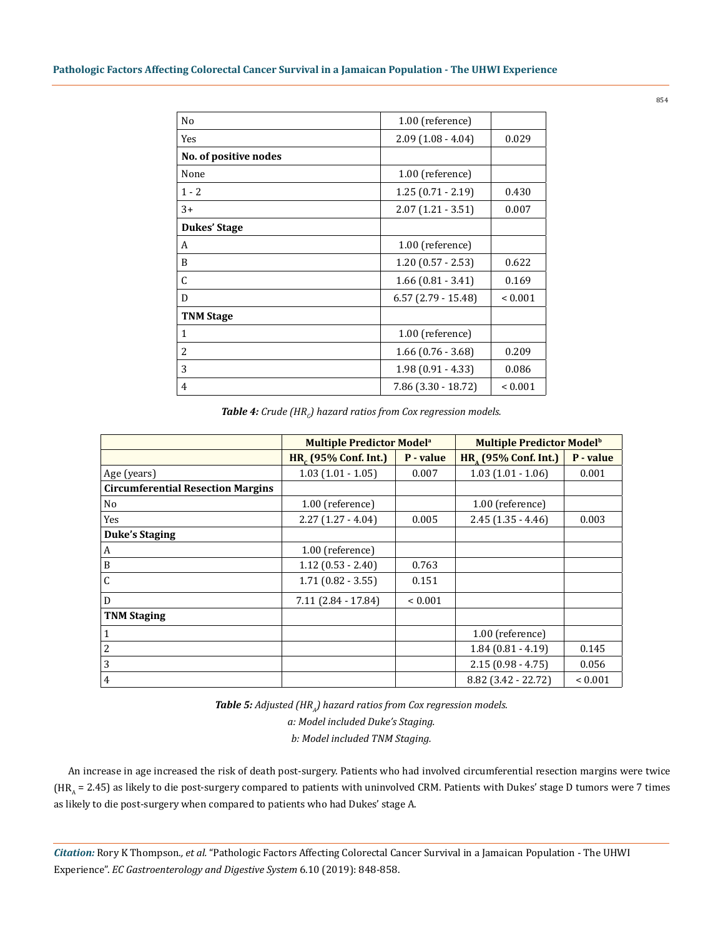| N <sub>o</sub>        | 1.00 (reference)             |              |  |
|-----------------------|------------------------------|--------------|--|
| Yes                   | $2.09(1.08 - 4.04)$          | 0.029        |  |
| No. of positive nodes |                              |              |  |
| None                  | 1.00 (reference)             |              |  |
| $1 - 2$               | $1.25(0.71 - 2.19)$          |              |  |
| $3+$                  | $2.07(1.21 - 3.51)$          | 0.007        |  |
| <b>Dukes' Stage</b>   |                              |              |  |
| A                     | 1.00 (reference)             |              |  |
| B                     | $1.20(0.57 - 2.53)$          | 0.622        |  |
| C                     | $1.66(0.81 - 3.41)$          | 0.169        |  |
| D                     | $6.57$ (2.79 - 15.48)        | ${}_{0.001}$ |  |
| <b>TNM Stage</b>      |                              |              |  |
| $\mathbf{1}$          | 1.00 (reference)             |              |  |
| $\overline{2}$        | $1.66(0.76 - 3.68)$<br>0.209 |              |  |
| 3                     | $1.98(0.91 - 4.33)$<br>0.086 |              |  |
| $\overline{4}$        | $7.86$ (3.30 - 18.72)        | ${}_{0.001}$ |  |

**Table 4:** Crude (HR<sub>c</sub>) hazard ratios from Cox regression models.

|                                          | Multiple Predictor Model <sup>a</sup> |              | Multiple Predictor Model <sup>b</sup> |              |
|------------------------------------------|---------------------------------------|--------------|---------------------------------------|--------------|
|                                          | HR <sub>c</sub> (95% Conf. Int.)      | P - value    | HR <sub>1</sub> (95% Conf. Int.)      | P - value    |
| Age (years)                              | $1.03(1.01 - 1.05)$                   | 0.007        | $1.03(1.01 - 1.06)$                   | 0.001        |
| <b>Circumferential Resection Margins</b> |                                       |              |                                       |              |
| No                                       | 1.00 (reference)                      |              | 1.00 (reference)                      |              |
| Yes                                      | $2.27(1.27 - 4.04)$                   | 0.005        | $2.45(1.35 - 4.46)$                   | 0.003        |
| <b>Duke's Staging</b>                    |                                       |              |                                       |              |
| A                                        | 1.00 (reference)                      |              |                                       |              |
| B                                        | $1.12(0.53 - 2.40)$                   | 0.763        |                                       |              |
| C                                        | $1.71(0.82 - 3.55)$                   | 0.151        |                                       |              |
| D                                        | $7.11(2.84 - 17.84)$                  | ${}_{0.001}$ |                                       |              |
| <b>TNM Staging</b>                       |                                       |              |                                       |              |
| $\mathbf{1}$                             |                                       |              | 1.00 (reference)                      |              |
| 2                                        |                                       |              | $1.84(0.81 - 4.19)$                   | 0.145        |
| 3                                        |                                       |              | $2.15(0.98 - 4.75)$                   | 0.056        |
| $\overline{4}$                           |                                       |              | 8.82 (3.42 - 22.72)                   | ${}_{0.001}$ |

*Table 5: Adjusted (HR<sub>A</sub>) hazard ratios from Cox regression models. a: Model included Duke's Staging. b: Model included TNM Staging.* 

An increase in age increased the risk of death post-surgery. Patients who had involved circumferential resection margins were twice  $(HR<sub>A</sub> = 2.45)$  as likely to die post-surgery compared to patients with uninvolved CRM. Patients with Dukes' stage D tumors were 7 times as likely to die post-surgery when compared to patients who had Dukes' stage A.

*Citation:* Rory K Thompson*., et al.* "Pathologic Factors Affecting Colorectal Cancer Survival in a Jamaican Population - The UHWI Experience". *EC Gastroenterology and Digestive System* 6.10 (2019): 848-858.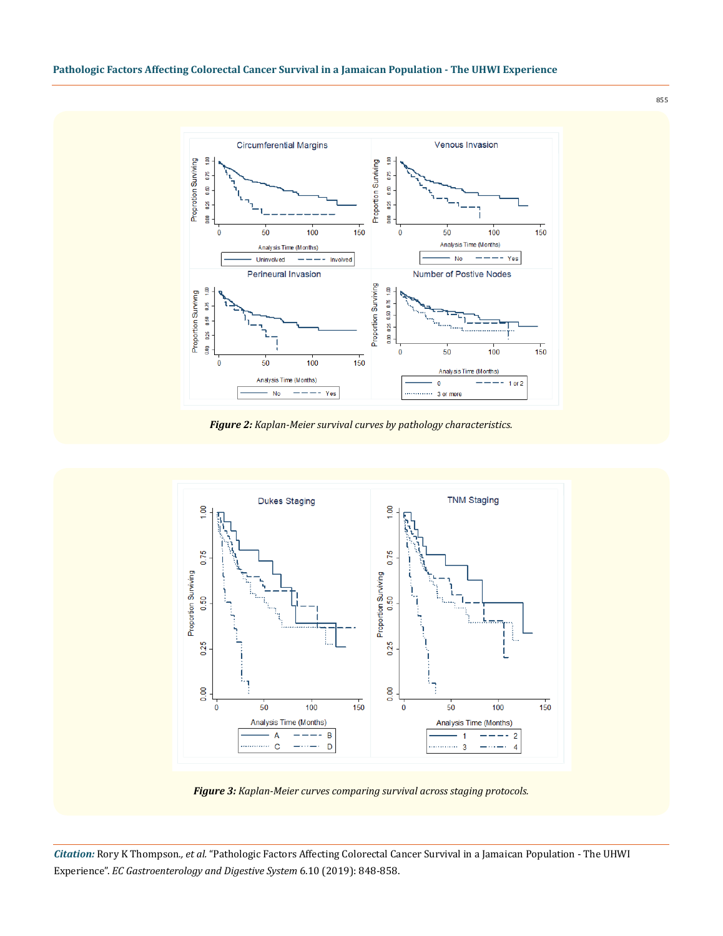

*Figure 2: Kaplan-Meier survival curves by pathology characteristics.*



*Figure 3: Kaplan-Meier curves comparing survival across staging protocols.*

*Citation:* Rory K Thompson*., et al.* "Pathologic Factors Affecting Colorectal Cancer Survival in a Jamaican Population - The UHWI Experience". *EC Gastroenterology and Digestive System* 6.10 (2019): 848-858.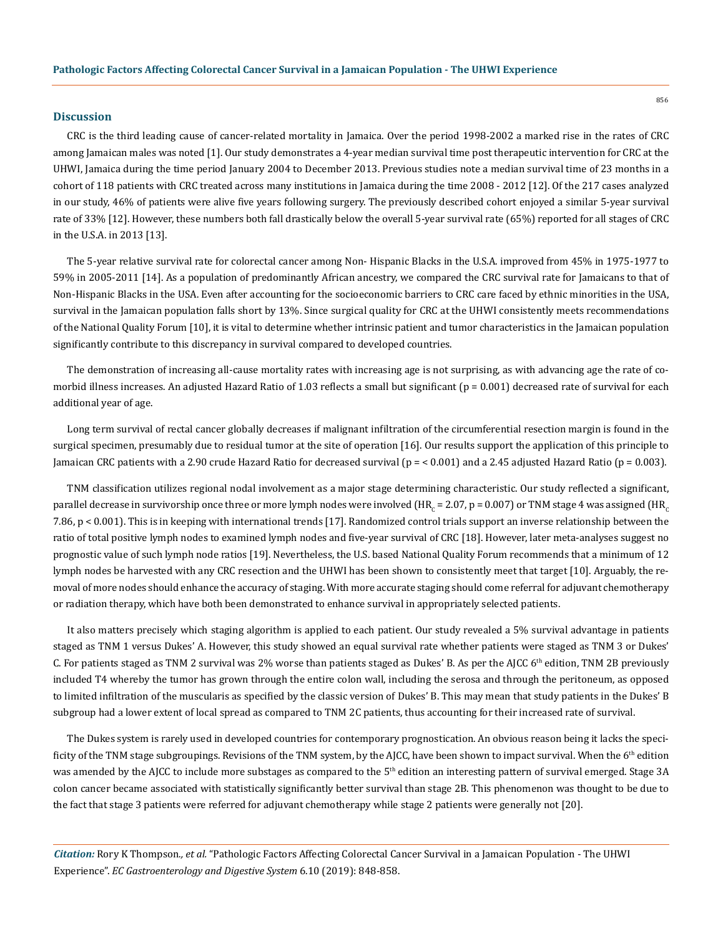## **Discussion**

CRC is the third leading cause of cancer-related mortality in Jamaica. Over the period 1998-2002 a marked rise in the rates of CRC among Jamaican males was noted [1]. Our study demonstrates a 4-year median survival time post therapeutic intervention for CRC at the UHWI, Jamaica during the time period January 2004 to December 2013. Previous studies note a median survival time of 23 months in a cohort of 118 patients with CRC treated across many institutions in Jamaica during the time 2008 - 2012 [12]. Of the 217 cases analyzed in our study, 46% of patients were alive five years following surgery. The previously described cohort enjoyed a similar 5-year survival rate of 33% [12]. However, these numbers both fall drastically below the overall 5-year survival rate (65%) reported for all stages of CRC in the U.S.A. in 2013 [13].

The 5-year relative survival rate for colorectal cancer among Non- Hispanic Blacks in the U.S.A. improved from 45% in 1975-1977 to 59% in 2005-2011 [14]. As a population of predominantly African ancestry, we compared the CRC survival rate for Jamaicans to that of Non-Hispanic Blacks in the USA. Even after accounting for the socioeconomic barriers to CRC care faced by ethnic minorities in the USA, survival in the Jamaican population falls short by 13%. Since surgical quality for CRC at the UHWI consistently meets recommendations of the National Quality Forum [10], it is vital to determine whether intrinsic patient and tumor characteristics in the Jamaican population significantly contribute to this discrepancy in survival compared to developed countries.

The demonstration of increasing all-cause mortality rates with increasing age is not surprising, as with advancing age the rate of comorbid illness increases. An adjusted Hazard Ratio of 1.03 reflects a small but significant ( $p = 0.001$ ) decreased rate of survival for each additional year of age.

Long term survival of rectal cancer globally decreases if malignant infiltration of the circumferential resection margin is found in the surgical specimen, presumably due to residual tumor at the site of operation [16]. Our results support the application of this principle to Jamaican CRC patients with a 2.90 crude Hazard Ratio for decreased survival (p = < 0.001) and a 2.45 adjusted Hazard Ratio (p = 0.003).

TNM classification utilizes regional nodal involvement as a major stage determining characteristic. Our study reflected a significant, parallel decrease in survivorship once three or more lymph nodes were involved (HR<sub>C</sub> = 2.07, p = 0.007) or TNM stage 4 was assigned (HR<sub>C</sub> 7.86, p < 0.001). This is in keeping with international trends [17]. Randomized control trials support an inverse relationship between the ratio of total positive lymph nodes to examined lymph nodes and five-year survival of CRC [18]. However, later meta-analyses suggest no prognostic value of such lymph node ratios [19]. Nevertheless, the U.S. based National Quality Forum recommends that a minimum of 12 lymph nodes be harvested with any CRC resection and the UHWI has been shown to consistently meet that target [10]. Arguably, the removal of more nodes should enhance the accuracy of staging. With more accurate staging should come referral for adjuvant chemotherapy or radiation therapy, which have both been demonstrated to enhance survival in appropriately selected patients.

It also matters precisely which staging algorithm is applied to each patient. Our study revealed a 5% survival advantage in patients staged as TNM 1 versus Dukes' A. However, this study showed an equal survival rate whether patients were staged as TNM 3 or Dukes' C. For patients staged as TNM 2 survival was 2% worse than patients staged as Dukes' B. As per the AJCC  $6<sup>th</sup>$  edition, TNM 2B previously included T4 whereby the tumor has grown through the entire colon wall, including the serosa and through the peritoneum, as opposed to limited infiltration of the muscularis as specified by the classic version of Dukes' B. This may mean that study patients in the Dukes' B subgroup had a lower extent of local spread as compared to TNM 2C patients, thus accounting for their increased rate of survival.

The Dukes system is rarely used in developed countries for contemporary prognostication. An obvious reason being it lacks the specificity of the TNM stage subgroupings. Revisions of the TNM system, by the AJCC, have been shown to impact survival. When the  $6<sup>th</sup>$  edition was amended by the AJCC to include more substages as compared to the 5<sup>th</sup> edition an interesting pattern of survival emerged. Stage 3A colon cancer became associated with statistically significantly better survival than stage 2B. This phenomenon was thought to be due to the fact that stage 3 patients were referred for adjuvant chemotherapy while stage 2 patients were generally not [20].

*Citation:* Rory K Thompson*., et al.* "Pathologic Factors Affecting Colorectal Cancer Survival in a Jamaican Population - The UHWI Experience". *EC Gastroenterology and Digestive System* 6.10 (2019): 848-858.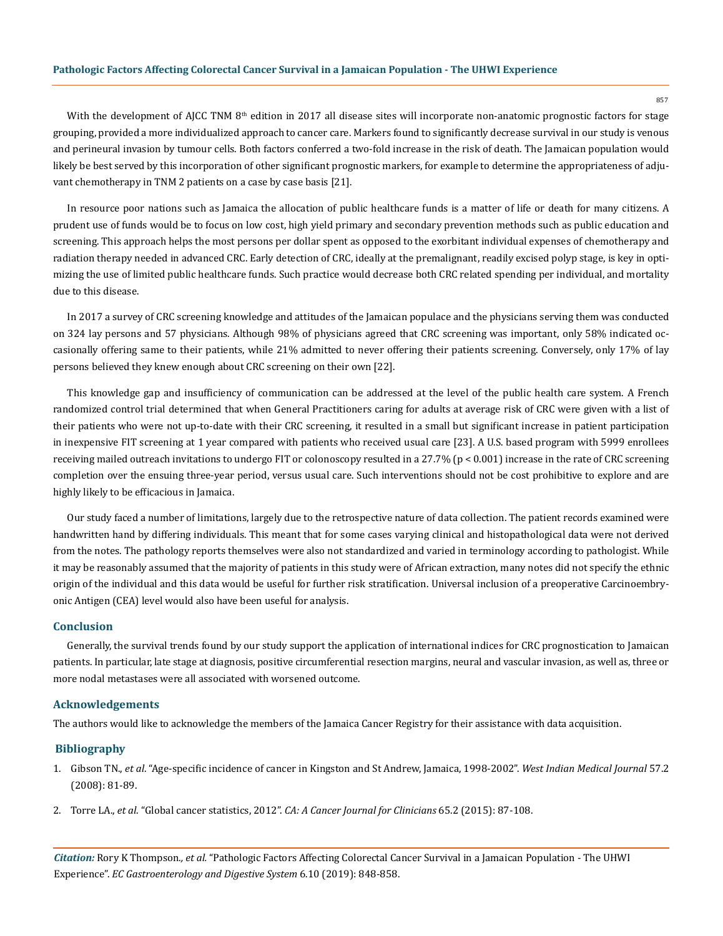With the development of AJCC TNM 8<sup>th</sup> edition in 2017 all disease sites will incorporate non-anatomic prognostic factors for stage grouping, provided a more individualized approach to cancer care. Markers found to significantly decrease survival in our study is venous and perineural invasion by tumour cells. Both factors conferred a two-fold increase in the risk of death. The Jamaican population would likely be best served by this incorporation of other significant prognostic markers, for example to determine the appropriateness of adjuvant chemotherapy in TNM 2 patients on a case by case basis [21].

In resource poor nations such as Jamaica the allocation of public healthcare funds is a matter of life or death for many citizens. A prudent use of funds would be to focus on low cost, high yield primary and secondary prevention methods such as public education and screening. This approach helps the most persons per dollar spent as opposed to the exorbitant individual expenses of chemotherapy and radiation therapy needed in advanced CRC. Early detection of CRC, ideally at the premalignant, readily excised polyp stage, is key in optimizing the use of limited public healthcare funds. Such practice would decrease both CRC related spending per individual, and mortality due to this disease.

In 2017 a survey of CRC screening knowledge and attitudes of the Jamaican populace and the physicians serving them was conducted on 324 lay persons and 57 physicians. Although 98% of physicians agreed that CRC screening was important, only 58% indicated occasionally offering same to their patients, while 21% admitted to never offering their patients screening. Conversely, only 17% of lay persons believed they knew enough about CRC screening on their own [22].

This knowledge gap and insufficiency of communication can be addressed at the level of the public health care system. A French randomized control trial determined that when General Practitioners caring for adults at average risk of CRC were given with a list of their patients who were not up-to-date with their CRC screening, it resulted in a small but significant increase in patient participation in inexpensive FIT screening at 1 year compared with patients who received usual care [23]. A U.S. based program with 5999 enrollees receiving mailed outreach invitations to undergo FIT or colonoscopy resulted in a 27.7% (p < 0.001) increase in the rate of CRC screening completion over the ensuing three-year period, versus usual care. Such interventions should not be cost prohibitive to explore and are highly likely to be efficacious in Jamaica.

Our study faced a number of limitations, largely due to the retrospective nature of data collection. The patient records examined were handwritten hand by differing individuals. This meant that for some cases varying clinical and histopathological data were not derived from the notes. The pathology reports themselves were also not standardized and varied in terminology according to pathologist. While it may be reasonably assumed that the majority of patients in this study were of African extraction, many notes did not specify the ethnic origin of the individual and this data would be useful for further risk stratification. Universal inclusion of a preoperative Carcinoembryonic Antigen (CEA) level would also have been useful for analysis.

#### **Conclusion**

Generally, the survival trends found by our study support the application of international indices for CRC prognostication to Jamaican patients. In particular, late stage at diagnosis, positive circumferential resection margins, neural and vascular invasion, as well as, three or more nodal metastases were all associated with worsened outcome.

#### **Acknowledgements**

The authors would like to acknowledge the members of the Jamaica Cancer Registry for their assistance with data acquisition.

## **Bibliography**

- 1. Gibson TN., *et al*[. "Age-specific incidence of cancer in Kingston and St Andrew, Jamaica, 1998-2002".](https://www.ncbi.nlm.nih.gov/pubmed/19565947) *West Indian Medical Journal* 57.2 [\(2008\): 81-89.](https://www.ncbi.nlm.nih.gov/pubmed/19565947)
- 2. Torre LA., *et al*. "Global cancer statistics, 2012". *[CA: A Cancer Journal for Clinicians](https://www.ncbi.nlm.nih.gov/pubmed/25651787)* 65.2 (2015): 87-108.

*Citation:* Rory K Thompson*., et al.* "Pathologic Factors Affecting Colorectal Cancer Survival in a Jamaican Population - The UHWI Experience". *EC Gastroenterology and Digestive System* 6.10 (2019): 848-858.